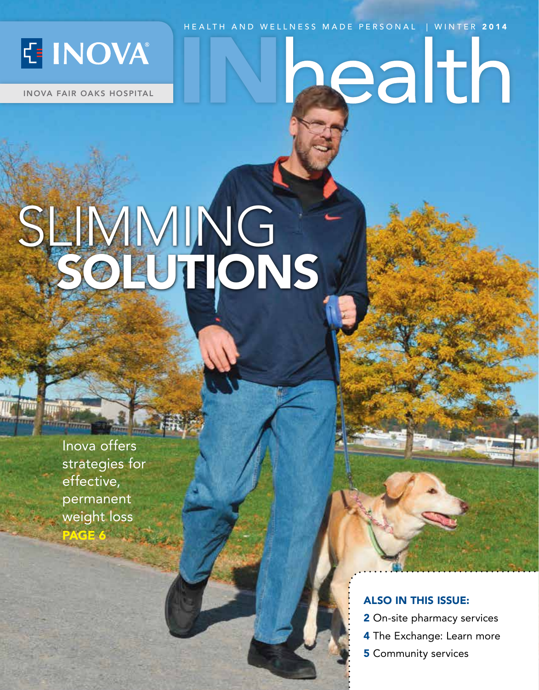

INOVA FAIR OAKS HOSPITAL

## HEALTH AND WELLNESS MADE PERSONAL | WINTER 2014 ealth

## SLIMMING SOLUTIONS

Inova offers strategies for effective, permanent weight loss PAGE 6

**Timara** 

#### ALSO IN THIS ISSUE:

- **2** On-site pharmacy services
- 4 The Exchange: Learn more
- **5** Community services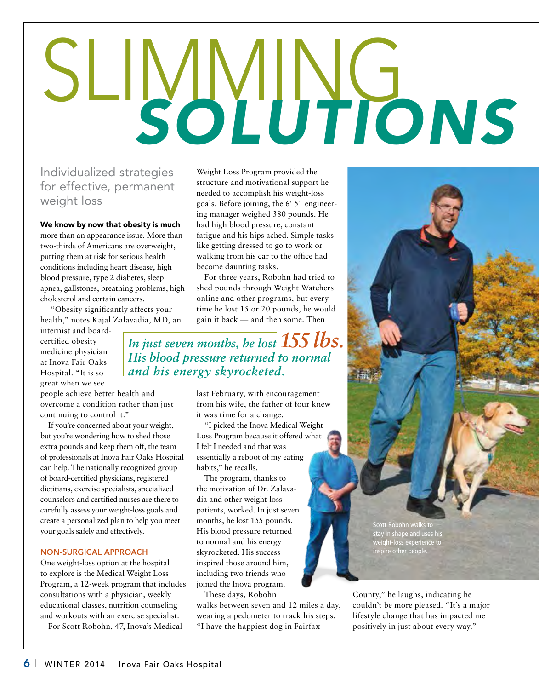# SLIMMING *SOLUTIONS*

#### Individualized strategies for effective, permanent weight loss

#### We know by now that obesity is much

more than an appearance issue. More than two-thirds of Americans are overweight, putting them at risk for serious health conditions including heart disease, high blood pressure, type 2 diabetes, sleep apnea, gallstones, breathing problems, high cholesterol and certain cancers.

 "Obesity significantly affects your health," notes Kajal Zalavadia, MD, an

internist and boardcertified obesity medicine physician at Inova Fair Oaks Hospital. "It is so great when we see

people achieve better health and overcome a condition rather than just continuing to control it."

If you're concerned about your weight, but you're wondering how to shed those extra pounds and keep them off, the team of professionals at Inova Fair Oaks Hospital can help. The nationally recognized group of board-certified physicians, registered dietitians, exercise specialists, specialized counselors and certified nurses are there to carefully assess your weight-loss goals and create a personalized plan to help you meet your goals safely and effectively.

#### NON-SURGICAL APPROACH

One weight-loss option at the hospital to explore is the Medical Weight Loss Program, a 12-week program that includes consultations with a physician, weekly educational classes, nutrition counseling and workouts with an exercise specialist.

For Scott Robohn, 47, Inova's Medical

Weight Loss Program provided the structure and motivational support he needed to accomplish his weight-loss goals. Before joining, the 6' 5" engineering manager weighed 380 pounds. He had high blood pressure, constant fatigue and his hips ached. Simple tasks like getting dressed to go to work or walking from his car to the office had become daunting tasks.

For three years, Robohn had tried to shed pounds through Weight Watchers online and other programs, but every time he lost 15 or 20 pounds, he would gain it back — and then some. Then

*In just seven months, he lost 155 lbs. His blood pressure returned to normal and his energy skyrocketed.*

> last February, with encouragement from his wife, the father of four knew it was time for a change.

"I picked the Inova Medical Weight Loss Program because it offered what I felt I needed and that was essentially a reboot of my eating habits," he recalls.

The program, thanks to the motivation of Dr. Zalavadia and other weight-loss patients, worked. In just seven months, he lost 155 pounds. His blood pressure returned to normal and his energy skyrocketed. His success inspired those around him, including two friends who joined the Inova program.

These days, Robohn walks between seven and 12 miles a day, wearing a pedometer to track his steps. "I have the happiest dog in Fairfax

County," he laughs, indicating he couldn't be more pleased. "It's a major lifestyle change that has impacted me positively in just about every way."

Scott Robohn walks to stay in shape and uses his weight-loss experience to inspire other people.